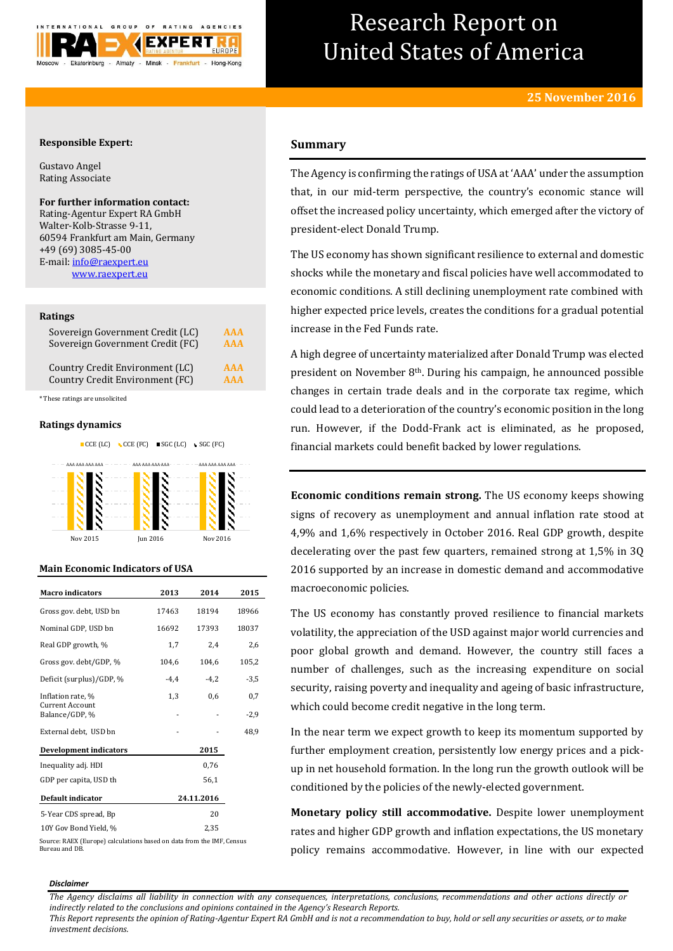

# Research Report on United States of America

# **Responsible Expert:**

Gustavo Angel Rating Associate

# **For further information contact:**

Rating-Agentur Expert RA GmbH Walter-Kolb-Strasse 9-11, 60594 Frankfurt am Main, Germany +49 (69) 3085-45-00 E-mail[: info@raexpert.eu](mailto:info@raexpert.eu) [www.raexpert.eu](http://raexpert.eu/)

#### **Ratings**

| Sovereign Government Credit (LC) | AAA        |
|----------------------------------|------------|
| Sovereign Government Credit (FC) | <b>AAA</b> |
| Country Credit Environment (LC)  | <b>AAA</b> |
| Country Credit Environment (FC)  | <b>AAA</b> |

\* These ratings are unsolicited

### **Ratings dynamics**



Nov 2015 Jun 2016 Nov 2016

#### **Main Economic Indicators of USA**

| <b>Macro</b> indicators                  | 2013   | 2014       | 2015   |
|------------------------------------------|--------|------------|--------|
| Gross gov. debt, USD bn                  | 17463  | 18194      | 18966  |
| Nominal GDP, USD bn                      | 16692  | 17393      | 18037  |
| Real GDP growth, %                       | 1,7    | 2,4        | 2,6    |
| Gross gov. debt/GDP, %                   | 104,6  | 104,6      | 105,2  |
| Deficit (surplus)/GDP, %                 | $-4,4$ | $-4.2$     | -3,5   |
| Inflation rate, %                        | 1,3    | 0,6        | 0,7    |
| <b>Current Account</b><br>Balance/GDP, % |        |            | $-2,9$ |
| External debt, USD bn                    |        |            | 48,9   |
| <b>Development indicators</b>            |        | 2015       |        |
| Inequality adj. HDI                      |        | 0,76       |        |
| GDP per capita, USD th                   |        | 56,1       |        |
| Default indicator                        |        | 24.11.2016 |        |
| 5-Year CDS spread, Bp                    |        | 20         |        |
| 10Y Gov Bond Yield, %                    |        | 2,35       |        |

Source: RAEX (Europe) calculations based on data from the IMF, Census Bureau and DB.

# **Summary**

The Agency is confirming the ratings of USA at 'AAA' under the assumption that, in our mid-term perspective, the country's economic stance will offset the increased policy uncertainty, which emerged after the victory of president-elect Donald Trump.

The US economy has shown significant resilience to external and domestic shocks while the monetary and fiscal policies have well accommodated to economic conditions. A still declining unemployment rate combined with higher expected price levels, creates the conditions for a gradual potential increase in the Fed Funds rate.

A high degree of uncertainty materialized after Donald Trump was elected president on November 8th. During his campaign, he announced possible changes in certain trade deals and in the corporate tax regime, which could lead to a deterioration of the country's economic position in the long run. However, if the Dodd-Frank act is eliminated, as he proposed, financial markets could benefit backed by lower regulations.

**Economic conditions remain strong.** The US economy keeps showing signs of recovery as unemployment and annual inflation rate stood at 4,9% and 1,6% respectively in October 2016. Real GDP growth, despite decelerating over the past few quarters, remained strong at 1,5% in 3Q 2016 supported by an increase in domestic demand and accommodative macroeconomic policies.

The US economy has constantly proved resilience to financial markets volatility, the appreciation of the USD against major world currencies and poor global growth and demand. However, the country still faces a number of challenges, such as the increasing expenditure on social security, raising poverty and inequality and ageing of basic infrastructure, which could become credit negative in the long term.

In the near term we expect growth to keep its momentum supported by further employment creation, persistently low energy prices and a pickup in net household formation. In the long run the growth outlook will be conditioned by the policies of the newly-elected government.

**Monetary policy still accommodative.** Despite lower unemployment rates and higher GDP growth and inflation expectations, the US monetary policy remains accommodative. However, in line with our expected

#### *Disclaimer*

*The Agency disclaims all liability in connection with any consequences, interpretations, conclusions, recommendations and other actions directly or indirectly related to the conclusions and opinions contained in the Agency's Research Reports.*

*This Report represents the opinion of Rating-Agentur Expert RA GmbH and is not a recommendation to buy, hold or sell any securities or assets, or to make investment decisions.*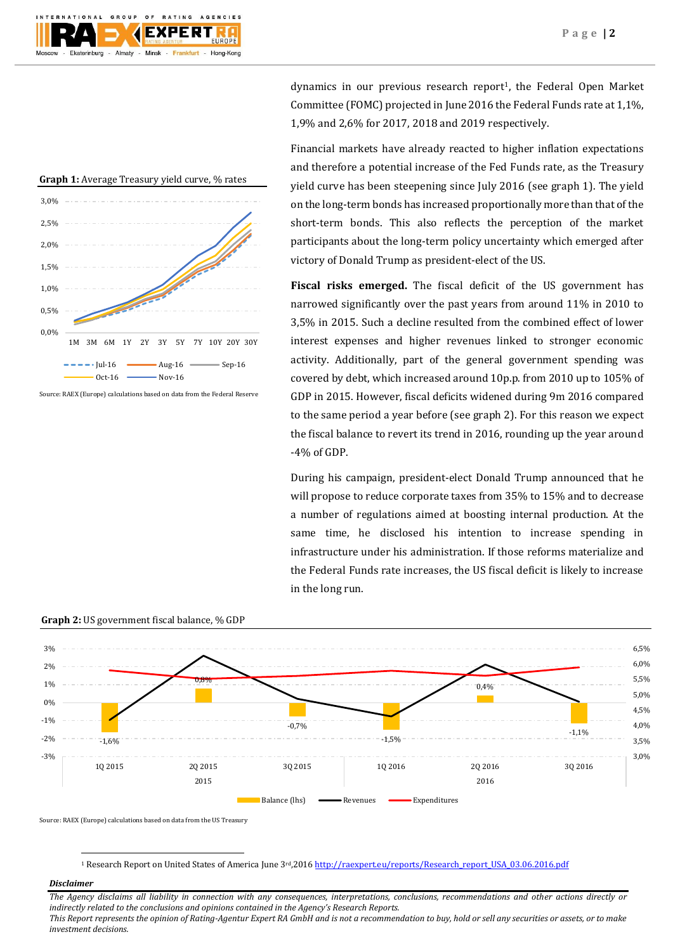



Source: RAEX (Europe) calculations based on data from the Federal Reserve

dynamics in our previous research report<sup>1</sup>, the Federal Open Market Committee (FOMC) projected in June 2016 the Federal Funds rate at 1,1%, 1,9% and 2,6% for 2017, 2018 and 2019 respectively.

Financial markets have already reacted to higher inflation expectations and therefore a potential increase of the Fed Funds rate, as the Treasury yield curve has been steepening since July 2016 (see graph 1). The yield on the long-term bonds has increased proportionally more than that of the short-term bonds. This also reflects the perception of the market participants about the long-term policy uncertainty which emerged after victory of Donald Trump as president-elect of the US.

**Fiscal risks emerged.** The fiscal deficit of the US government has narrowed significantly over the past years from around 11% in 2010 to 3,5% in 2015. Such a decline resulted from the combined effect of lower interest expenses and higher revenues linked to stronger economic activity. Additionally, part of the general government spending was covered by debt, which increased around 10p.p. from 2010 up to 105% of GDP in 2015. However, fiscal deficits widened during 9m 2016 compared to the same period a year before (see graph 2). For this reason we expect the fiscal balance to revert its trend in 2016, rounding up the year around -4% of GDP.

During his campaign, president-elect Donald Trump announced that he will propose to reduce corporate taxes from 35% to 15% and to decrease a number of regulations aimed at boosting internal production. At the same time, he disclosed his intention to increase spending in infrastructure under his administration. If those reforms materialize and the Federal Funds rate increases, the US fiscal deficit is likely to increase in the long run.



**Graph 2:** US government fiscal balance, % GDP

Source: RAEX (Europe) calculations based on data from the US Treasury

1 Research Report on United States of America June 3rd,201[6 http://raexpert.eu/reports/Research\\_report\\_USA\\_03.06.2016.pdf](http://raexpert.eu/reports/Research_report_USA_03.06.2016.pdf)

# *Disclaimer*

1

*The Agency disclaims all liability in connection with any consequences, interpretations, conclusions, recommendations and other actions directly or indirectly related to the conclusions and opinions contained in the Agency's Research Reports. This Report represents the opinion of Rating-Agentur Expert RA GmbH and is not a recommendation to buy, hold or sell any securities or assets, or to make investment decisions.*